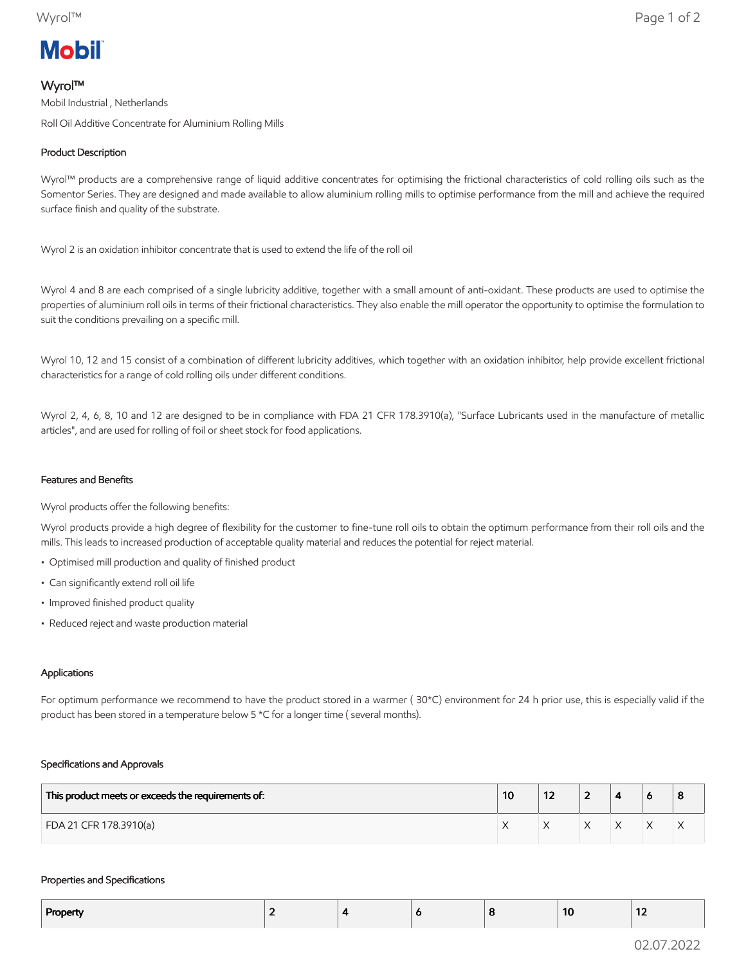# **Mobil**

# Wyrol™

Mobil Industrial , Netherlands Roll Oil Additive Concentrate for Aluminium Rolling Mills

# Product Description

Wyrol™ products are a comprehensive range of liquid additive concentrates for optimising the frictional characteristics of cold rolling oils such as the Somentor Series. They are designed and made available to allow aluminium rolling mills to optimise performance from the mill and achieve the required surface finish and quality of the substrate.

Wyrol 2 is an oxidation inhibitor concentrate that is used to extend the life of the roll oil

Wyrol 4 and 8 are each comprised of a single lubricity additive, together with a small amount of anti-oxidant. These products are used to optimise the properties of aluminium roll oils in terms of their frictional characteristics. They also enable the mill operator the opportunity to optimise the formulation to suit the conditions prevailing on a specific mill.

Wyrol 10, 12 and 15 consist of a combination of different lubricity additives, which together with an oxidation inhibitor, help provide excellent frictional characteristics for a range of cold rolling oils under different conditions.

Wyrol 2, 4, 6, 8, 10 and 12 are designed to be in compliance with FDA 21 CFR 178.3910(a), "Surface Lubricants used in the manufacture of metallic articles", and are used for rolling of foil or sheet stock for food applications.

## Features and Benefits

Wyrol products offer the following benefits:

Wyrol products provide a high degree of flexibility for the customer to fine-tune roll oils to obtain the optimum performance from their roll oils and the mills. This leads to increased production of acceptable quality material and reduces the potential for reject material.

- Optimised mill production and quality of finished product
- Can significantly extend roll oil life
- Improved finished product quality
- Reduced reject and waste production material

## Applications

For optimum performance we recommend to have the product stored in a warmer ( 30\*C) environment for 24 h prior use, this is especially valid if the product has been stored in a temperature below 5 \*C for a longer time ( several months).

### Specifications and Approvals

| This product meets or exceeds the requirements of: | 10 | --<br>1 Z | - |  | o |
|----------------------------------------------------|----|-----------|---|--|---|
| FDA 21 CFR 178.3910(a)                             |    |           |   |  | ∧ |

### Properties and Specifications

| Property |  | o | 10 | .<br>$\overline{\phantom{a}}$ |
|----------|--|---|----|-------------------------------|
|          |  |   |    |                               |